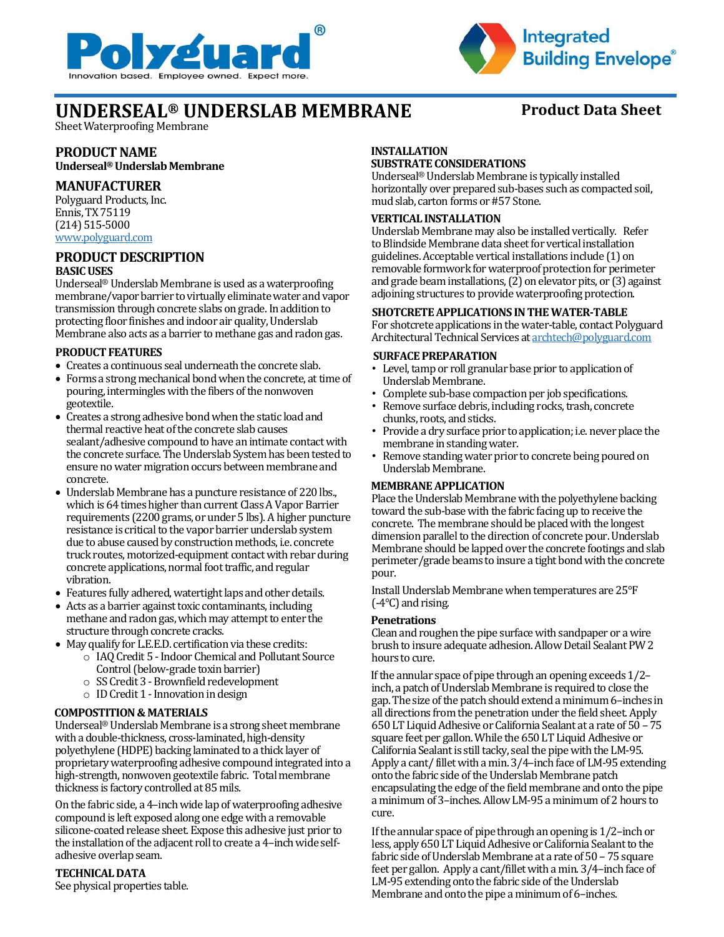



# **UNDERSEAL® UNDERSLAB MEMBRANE Product Data Sheet**

Sheet Waterproofing Membrane

## **PRODUCT NAME**

**Underseal® Underslab Membrane**

### **MANUFACTURER**

Polyguard Products, Inc. Ennis, TX 75119 (214) 515-5000 [www.polyguard.com](http://www.polyguard.com/)

#### **PRODUCT DESCRIPTION BASIC USES**

Underseal® Underslab Membrane is used as a waterproofing membrane/vapor barrier to virtually eliminate water and vapor transmission through concrete slabs on grade. In addition to protecting floor finishes and indoor air quality, Underslab Membrane also acts as a barrier to methane gas and radon gas.

#### **PRODUCT FEATURES**

- Creates a continuous seal underneath the concrete slab.
- Forms a strong mechanical bond when the concrete, at time of pouring, intermingles with the fibers of the nonwoven geotextile.
- Creates a strong adhesive bond when the static load and thermal reactive heat of the concrete slab causes sealant/adhesive compound to have an intimate contact with the concrete surface. The Underslab System has been tested to ensure no water migration occurs between membrane and concrete.
- Underslab Membrane has a puncture resistance of 220 lbs., which is 64 times higher than current Class A Vapor Barrier requirements (2200 grams, or under 5 lbs). A higher puncture resistance is critical to the vapor barrier underslab system due to abuse caused by construction methods, i.e. concrete truck routes, motorized-equipment contact with rebar during concrete applications, normal foot traffic, and regular vibration.
- Features fully adhered, watertight laps and other details.
- Acts as a barrier against toxic contaminants, including methane and radon gas, which may attempt to enter the structure through concrete cracks.
- May qualify for L.E.E.D. certification via these credits:
	- o IAQ Credit 5 -Indoor Chemical and Pollutant Source Control (below-grade toxin barrier)
	- o SS Credit 3 -Brownfield redevelopment
	- $\circ$  ID Credit 1 Innovation in design

## **COMPOSTITION & MATERIALS**

Underseal® Underslab Membrane is a strong sheet membrane with a double-thickness, cross-laminated, high-density polyethylene (HDPE) backing laminated to a thick layer of proprietary waterproofing adhesive compound integrated into a high-strength, nonwoven geotextile fabric. Total membrane thickness is factory controlled at 85 mils.

On the fabric side, a 4–inch wide lap of waterproofing adhesive compound is left exposed along one edge with a removable silicone-coated release sheet. Expose this adhesive just prior to the installation of the adjacent roll to create a 4–inch wide selfadhesive overlap seam.

## **TECHNICAL DATA**

See physical properties table.

## **INSTALLATION**

#### **SUBSTRATE CONSIDERATIONS**

Underseal® Underslab Membrane is typically installed horizontally over prepared sub-bases such as compacted soil, mud slab, carton forms or #57 Stone.

#### **VERTICAL INSTALLATION**

Underslab Membrane may also be installed vertically. Refer to Blindside Membrane data sheet for vertical installation guidelines. Acceptable vertical installations include (1) on removable formwork for waterproof protection for perimeter and grade beam installations, (2) on elevator pits, or (3) against adjoining structures to provide waterproofing protection.

#### **SHOTCRETE APPLICATIONS IN THE WATER-TABLE**

For shotcrete applications in the water-table, contact Polyguard Architectural Technical Services at archtech@polyguard.com

#### **SURFACE PREPARATION**

- Level, tamp or roll granular base [prior to application of](mailto:archtech@polyguard.com)  Underslab Membrane.
- Complete sub-base compaction per job specifications.
- Remove surface debris, including rocks, trash, concrete chunks, roots, and sticks.
- Provide a dry surface prior to application; i.e. never place the membrane in standing water.
- Remove standing water prior to concrete being poured on Underslab Membrane.

#### **MEMBRANE APPLICATION**

Place the Underslab Membrane with the polyethylene backing toward the sub-base with the fabric facing up to receive the concrete. The membrane should be placed with the longest dimension parallel to the direction of concrete pour. Underslab Membrane should be lapped over the concrete footings and slab perimeter/grade beams to insure a tight bond with the concrete pour.

Install Underslab Membrane when temperatures are 25°F (-4°C) and rising.

#### **Penetrations**

Clean and roughen the pipe surface with sandpaper or a wire brush to insure adequate adhesion. Allow Detail Sealant PW 2 hours to cure.

If the annular space of pipe through an opening exceeds 1/2– inch, a patch of Underslab Membrane is required to close the gap. The size of the patch should extend a minimum 6–inches in all directions from the penetration under the field sheet. Apply 650 LT Liquid Adhesive or California Sealant at a rate of 50 –75 square feet per gallon. While the 650 LT Liquid Adhesive or California Sealant is still tacky, seal the pipe with the LM-95. Apply a cant/ fillet with a min. 3/4–inch face of LM-95 extending onto the fabric side of the Underslab Membrane patch encapsulating the edge of the field membrane and onto the pipe a minimum of 3–inches. Allow LM-95 a minimum of 2 hours to cure.

If the annular space of pipe through an opening is 1/2–inch or less, apply 650 LT Liquid Adhesive or California Sealant to the fabric side of Underslab Membrane at a rate of 50 – 75 square feet per gallon. Apply a cant/fillet with a min. 3/4-inch face of LM-95 extending onto the fabric side of the Underslab Membrane and onto the pipe a minimum of 6–inches.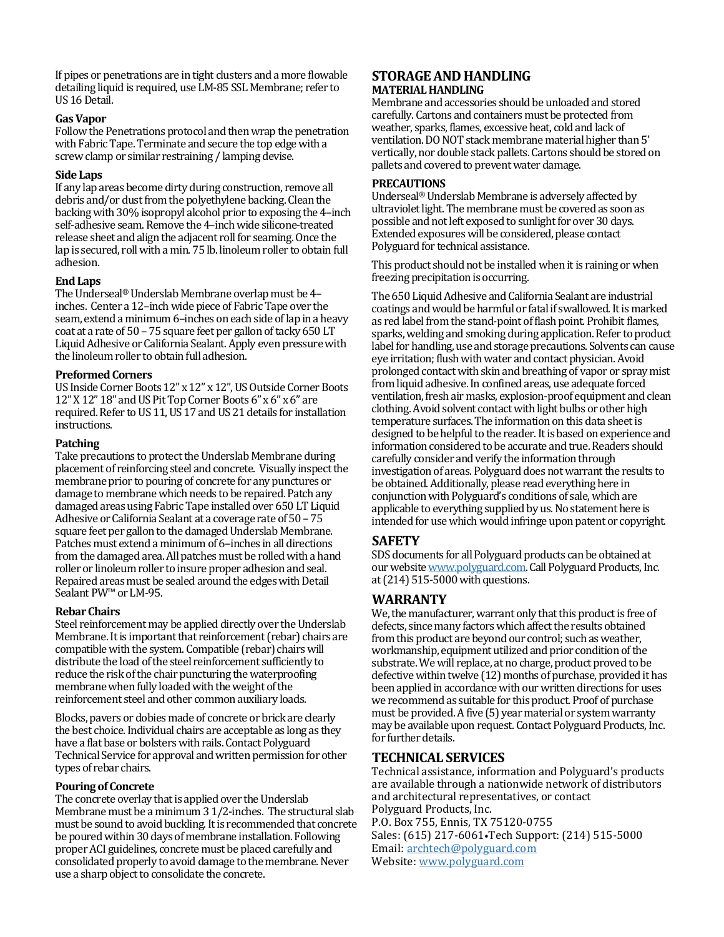If pipes or penetrations are in tight clusters and a more flowable detailing liquid is required, use LM-85 SSL Membrane; refer to US 16 Detail.

#### **Gas Vapor**

Follow the Penetrations protocol and then wrap the penetration with Fabric Tape. Terminate and secure the top edge with a screw clamp or similar restraining / lamping devise.

#### **Side Laps**

If any lap areas become dirty during construction, remove all debris and/or dust from the polyethylene backing. Clean the backing with 30% isopropyl alcohol prior to exposing the 4–inch self-adhesive seam. Remove the 4-inch wide silicone-treated release sheet and align the adjacent roll for seaming. Once the lap is secured, roll with a min. 75 lb. linoleum roller to obtain full adhesion.

#### **End Laps**

The Underseal® Underslab Membrane overlap must be 4– inches. Center a 12-inch wide piece of Fabric Tape over the seam, extend a minimum 6–inches on each side of lap in a heavy coat at a rate of 50 – 75 square feet per gallon of tacky 650 LT Liquid Adhesive or California Sealant. Apply even pressure with the linoleum roller to obtain full adhesion.

#### **Preformed Corners**

US Inside Corner Boots 12" x 12" x 12", US Outside Corner Boots 12" X 12" 18" and US Pit Top Corner Boots 6" x 6" x 6" are required. Refer to US 11, US 17 and US 21 details for installation instructions.

#### **Patching**

Take precautions to protect the Underslab Membrane during placement of reinforcing steel and concrete. Visually inspect the membrane prior to pouring of concrete for any punctures or damage to membrane which needs to be repaired. Patch any damaged areas using Fabric Tape installed over 650 LT Liquid Adhesive or California Sealant at a coverage rate of 50 – 75 square feet per gallon to the damaged Underslab Membrane. Patches must extend a minimum of 6–inches in all directions from the damaged area. All patches must be rolled with a hand roller or linoleum roller to insure proper adhesion and seal. Repaired areas must be sealed around the edges with Detail Sealant PW<sup>™</sup> or LM-95.

#### **Rebar Chairs**

Steel reinforcement may be applied directly over the Underslab Membrane. It is important that reinforcement (rebar) chairs are compatible with the system. Compatible (rebar) chairs will distribute the load of the steel reinforcement sufficiently to reduce the risk of the chair puncturing the waterproofing membrane when fully loaded with the weight of the reinforcement steel and other common auxiliary loads.

Blocks, pavers or dobies made of concrete or brick are clearly the best choice. Individual chairs are acceptable as long as they have a flat base or bolsters with rails. Contact Polyguard Technical Service for approval and written permission for other types of rebar chairs.

#### **Pouring of Concrete**

The concrete overlay that is applied over the Underslab Membrane must be a minimum 3 1/2-inches. The structural slab must be sound to avoid buckling. It is recommended that concrete be poured within 30 days of membrane installation. Following proper ACI guidelines, concrete must be placed carefully and consolidated properly to avoid damage to the membrane. Never use a sharp object to consolidate the concrete.

#### **STORAGE AND HANDLING MATERIAL HANDLING**

Membrane and accessories should be unloaded and stored carefully. Cartons and containers must be protected from weather, sparks, flames, excessive heat, cold and lack of ventilation. DO NOT stack membrane material higher than 5' vertically, nor double stack pallets. Cartons should be stored on pallets and covered to prevent water damage.

#### **PRECAUTIONS**

Underseal® Underslab Membrane is adversely affected by ultraviolet light. The membrane must be covered as soon as possible and not left exposed to sunlight for over 30 days. Extended exposures will be considered, please contact Polyguard for technical assistance.

This product should not be installed when it is raining or when freezing precipitation is occurring.

The 650 Liquid Adhesive and California Sealant are industrial coatings and would be harmful or fatal if swallowed. It is marked as red label from the stand-point of flash point. Prohibit flames, sparks, welding and smoking during application. Refer to product label for handling, use and storage precautions. Solvents can cause eye irritation; flush with water and contact physician. Avoid prolonged contact with skin and breathing of vapor or spray mist from liquid adhesive. In confined areas, use adequate forced ventilation, fresh air masks, explosion-proof equipment and clean clothing. Avoid solvent contact with light bulbs or other high temperature surfaces. The information on this data sheet is designed to be helpful to the reader. It is based on experience and information considered to be accurate and true. Readers should carefully consider and verify the information through investigation of areas. Polyguard does not warrant the results to be obtained. Additionally, please read everything here in conjunction with Polyguard's conditions of sale, which are applicable to everything supplied by us. No statement here is intended for use which would infringe upon patent or copyright.

## **SAFETY**

SDS documents for all Polyguard products can be obtained at our website www.polyguard.com.Call Polyguard Products, Inc. at (214) 515-5000 with questions.

## **WARRANTY**

We, the manufacturer, warrant only that this product is free of defects, since many factors which affect the results obtained from this product are beyond our control; such as weather, workmanship, equipment utilized and prior condition of the substrate. We will replace, at no charge, product proved to be defective within twelve (12) months of purchase, provided it has been applied in accordance with our written directions for uses we recommend as suitable for this product. Proof of purchase must be pr[ovided. A five \(5\) year m](http://www.polyguard.com/)aterial or system warranty may be available upon request. Contact Polyguard Products, Inc. for further details.

## **TECHNICAL SERVICES**

Technical assistance, information and Polyguard's products are available through a nationwide network of distributors and architectural representatives, or contact Polyguard Products, Inc. P.O. Box 755, Ennis, TX 75120-0755 Sales: (615) 217-6061•Tech Support: (214) 515-5000 Email: archtech@polyguard.com Website: www.polyguard.com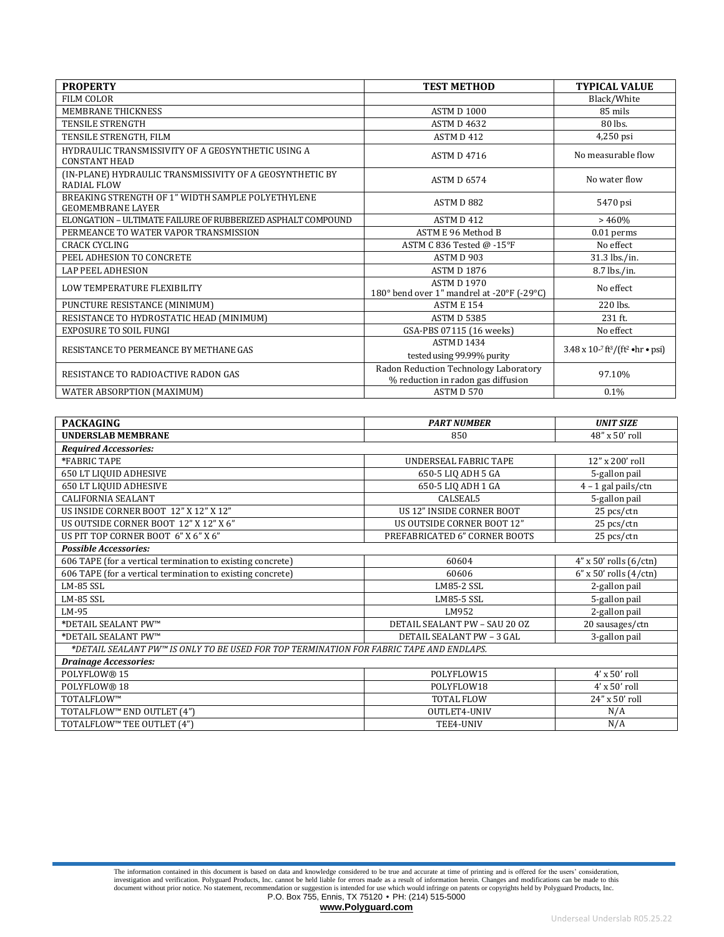| <b>PROPERTY</b>                                                               | <b>TEST METHOD</b>                                                          | <b>TYPICAL VALUE</b>                                               |
|-------------------------------------------------------------------------------|-----------------------------------------------------------------------------|--------------------------------------------------------------------|
| FILM COLOR                                                                    |                                                                             | Black/White                                                        |
| MEMBRANE THICKNESS                                                            | <b>ASTM D 1000</b>                                                          | 85 mils                                                            |
| <b>TENSILE STRENGTH</b>                                                       | <b>ASTM D 4632</b>                                                          | 80 lbs.                                                            |
| TENSILE STRENGTH. FILM                                                        | ASTM D 412                                                                  | 4,250 psi                                                          |
| HYDRAULIC TRANSMISSIVITY OF A GEOSYNTHETIC USING A<br><b>CONSTANT HEAD</b>    | <b>ASTM D 4716</b>                                                          | No measurable flow                                                 |
| (IN-PLANE) HYDRAULIC TRANSMISSIVITY OF A GEOSYNTHETIC BY<br>RADIAL FLOW       | <b>ASTM D 6574</b>                                                          | No water flow                                                      |
| BREAKING STRENGTH OF 1" WIDTH SAMPLE POLYETHYLENE<br><b>GEOMEMBRANE LAYER</b> | ASTM D 882                                                                  | 5470 psi                                                           |
| ELONGATION - ULTIMATE FAILURE OF RUBBERIZED ASPHALT COMPOUND                  | ASTM D412                                                                   | >460%                                                              |
| PERMEANCE TO WATER VAPOR TRANSMISSION                                         | ASTM E 96 Method B                                                          | $0.01$ perms                                                       |
| <b>CRACK CYCLING</b>                                                          | ASTM C 836 Tested @ -15°F                                                   | No effect                                                          |
| PEEL ADHESION TO CONCRETE                                                     | ASTM D 903                                                                  | 31.3 lbs./in.                                                      |
| <b>LAP PEEL ADHESION</b>                                                      | <b>ASTM D 1876</b>                                                          | 8.7 lbs./in.                                                       |
| LOW TEMPERATURE FLEXIBILITY                                                   | <b>ASTM D 1970</b><br>180° bend over 1" mandrel at -20°F (-29°C)            | No effect                                                          |
| PUNCTURE RESISTANCE (MINIMUM)                                                 | <b>ASTM E 154</b>                                                           | 220 lbs.                                                           |
| RESISTANCE TO HYDROSTATIC HEAD (MINIMUM)                                      | <b>ASTM D 5385</b>                                                          | 231 ft.                                                            |
| <b>EXPOSURE TO SOIL FUNGI</b>                                                 | GSA-PBS 07115 (16 weeks)                                                    | No effect                                                          |
| RESISTANCE TO PERMEANCE BY METHANE GAS                                        | ASTM D1434                                                                  | $3.48 \times 10^{-7}$ ft <sup>3</sup> /(ft <sup>2</sup> •hr • psi) |
|                                                                               | tested using 99.99% purity                                                  |                                                                    |
| RESISTANCE TO RADIOACTIVE RADON GAS                                           | Radon Reduction Technology Laboratory<br>% reduction in radon gas diffusion | 97.10%                                                             |
| WATER ABSORPTION (MAXIMUM)                                                    | ASTM D 570                                                                  | 0.1%                                                               |

| <b>PACKAGING</b>                                                                        | <b>PART NUMBER</b>               | <b>UNIT SIZE</b>                   |  |
|-----------------------------------------------------------------------------------------|----------------------------------|------------------------------------|--|
| <b>UNDERSLAB MEMBRANE</b>                                                               | 850                              | 48" x 50' roll                     |  |
| <b>Required Accessories:</b>                                                            |                                  |                                    |  |
| *FABRIC TAPE                                                                            | UNDERSEAL FABRIC TAPE            | 12" x 200' roll                    |  |
| <b>650 LT LIQUID ADHESIVE</b>                                                           | 650-5 LIQ ADH 5 GA               | 5-gallon pail                      |  |
| <b>650 LT LIQUID ADHESIVE</b>                                                           | 650-5 LIQ ADH 1 GA               | $4 - 1$ gal pails/ctn              |  |
| <b>CALIFORNIA SEALANT</b>                                                               | CALSEAL5                         | 5-gallon pail                      |  |
| US INSIDE CORNER BOOT 12" X 12" X 12"                                                   | US 12" INSIDE CORNER BOOT        | 25 pcs/ctn                         |  |
| US OUTSIDE CORNER BOOT 12" X 12" X 6"                                                   | US OUTSIDE CORNER BOOT 12"       | 25 pcs/ctn                         |  |
| US PIT TOP CORNER BOOT 6" X 6" X 6"                                                     | PREFABRICATED 6" CORNER BOOTS    | 25 pcs/ctn                         |  |
| <b>Possible Accessories:</b>                                                            |                                  |                                    |  |
| 606 TAPE (for a vertical termination to existing concrete)                              | 60604                            | $4''$ x 50' rolls $(6/\text{ctn})$ |  |
| 606 TAPE (for a vertical termination to existing concrete)                              | 60606                            | $6''$ x 50' rolls $(4/ctn)$        |  |
| LM-85 SSL                                                                               | LM85-2 SSL                       | 2-gallon pail                      |  |
| LM-85 SSL                                                                               | LM85-5 SSL                       | 5-gallon pail                      |  |
| LM-95                                                                                   | LM952                            | 2-gallon pail                      |  |
| *DETAIL SEALANT PW™                                                                     | DETAIL SEALANT PW - SAU 20 OZ    | 20 sausages/ctn                    |  |
| *DETAIL SEALANT PW™                                                                     | <b>DETAIL SEALANT PW - 3 GAL</b> | 3-gallon pail                      |  |
| *DETAIL SEALANT PW™ IS ONLY TO BE USED FOR TOP TERMINATION FOR FABRIC TAPE AND ENDLAPS. |                                  |                                    |  |
| <b>Drainage Accessories:</b>                                                            |                                  |                                    |  |
| POLYFLOW® 15                                                                            | POLYFLOW15                       | $4'$ x 50' roll                    |  |
| POLYFLOW® 18                                                                            | POLYFLOW18                       | $4'$ x 50' roll                    |  |
| TOTALFLOW™                                                                              | <b>TOTAL FLOW</b>                | 24" x 50' roll                     |  |
| TOTALFLOW™ END OUTLET (4")                                                              | OUTLET4-UNIV                     | N/A                                |  |
| TOTALFLOW™ TEE OUTLET (4")                                                              | TEE4-UNIV                        | N/A                                |  |

The information contained in this document is based on data and knowledge considered to be true and accurate at time of printing and is offered for the users' consideration, investigation and verification. Polyguard Produc

**[www.Polyguard.com](http://www.polyguard.com/)**